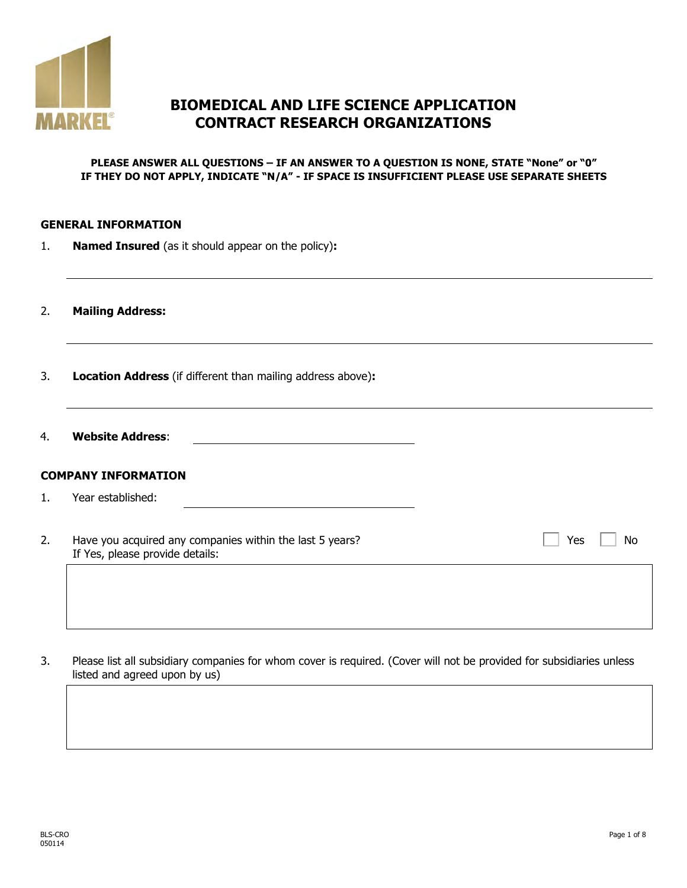

# **BIOMEDICAL AND LIFE SCIENCE APPLICATION CONTRACT RESEARCH ORGANIZATIONS**

#### **PLEASE ANSWER ALL QUESTIONS – IF AN ANSWER TO A QUESTION IS NONE, STATE "None" or "0" IF THEY DO NOT APPLY, INDICATE "N/A" - IF SPACE IS INSUFFICIENT PLEASE USE SEPARATE SHEETS**

#### **GENERAL INFORMATION**

1. **Named Insured** (as it should appear on the policy)**:**

2. **Mailing Address:**

- 3. **Location Address** (if different than mailing address above)**:**
- 4. **Website Address**:

### **COMPANY INFORMATION**

- 1. Year established:
- 2. Have you acquired any companies within the last 5 years? If Yes, please provide details:

 $Yes \mid No$ 

3. Please list all subsidiary companies for whom cover is required. (Cover will not be provided for subsidiaries unless listed and agreed upon by us)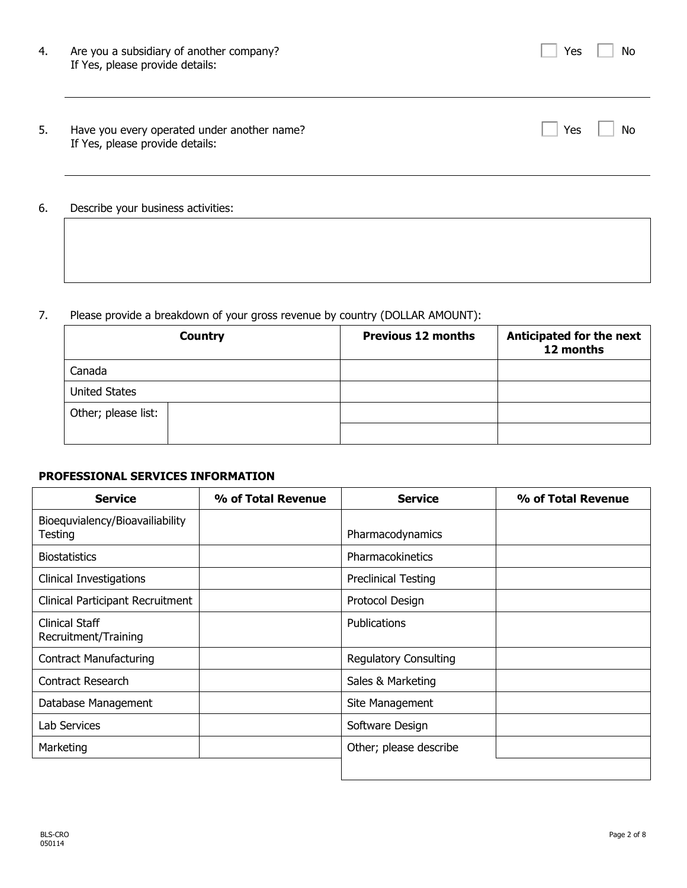| 4. | Are you a subsidiary of another company?<br>If Yes, please provide details:    | Yes | No |
|----|--------------------------------------------------------------------------------|-----|----|
| 5. | Have you every operated under another name?<br>If Yes, please provide details: | Yes | No |
| 6. | Describe your business activities:                                             |     |    |

### 7. Please provide a breakdown of your gross revenue by country (DOLLAR AMOUNT):

|                      | <b>Country</b> | <b>Previous 12 months</b> | Anticipated for the next<br>12 months |
|----------------------|----------------|---------------------------|---------------------------------------|
| Canada               |                |                           |                                       |
| <b>United States</b> |                |                           |                                       |
| Other; please list:  |                |                           |                                       |
|                      |                |                           |                                       |

## **PROFESSIONAL SERVICES INFORMATION**

| <b>Service</b>                             | % of Total Revenue | <b>Service</b>               | % of Total Revenue |
|--------------------------------------------|--------------------|------------------------------|--------------------|
| Bioequvialency/Bioavailiability<br>Testing |                    | Pharmacodynamics             |                    |
| <b>Biostatistics</b>                       |                    | Pharmacokinetics             |                    |
| <b>Clinical Investigations</b>             |                    | <b>Preclinical Testing</b>   |                    |
| Clinical Participant Recruitment           |                    | Protocol Design              |                    |
| Clinical Staff<br>Recruitment/Training     |                    | Publications                 |                    |
| <b>Contract Manufacturing</b>              |                    | <b>Regulatory Consulting</b> |                    |
| Contract Research                          |                    | Sales & Marketing            |                    |
| Database Management                        |                    | Site Management              |                    |
| Lab Services                               |                    | Software Design              |                    |
| Marketing                                  |                    | Other; please describe       |                    |
|                                            |                    |                              |                    |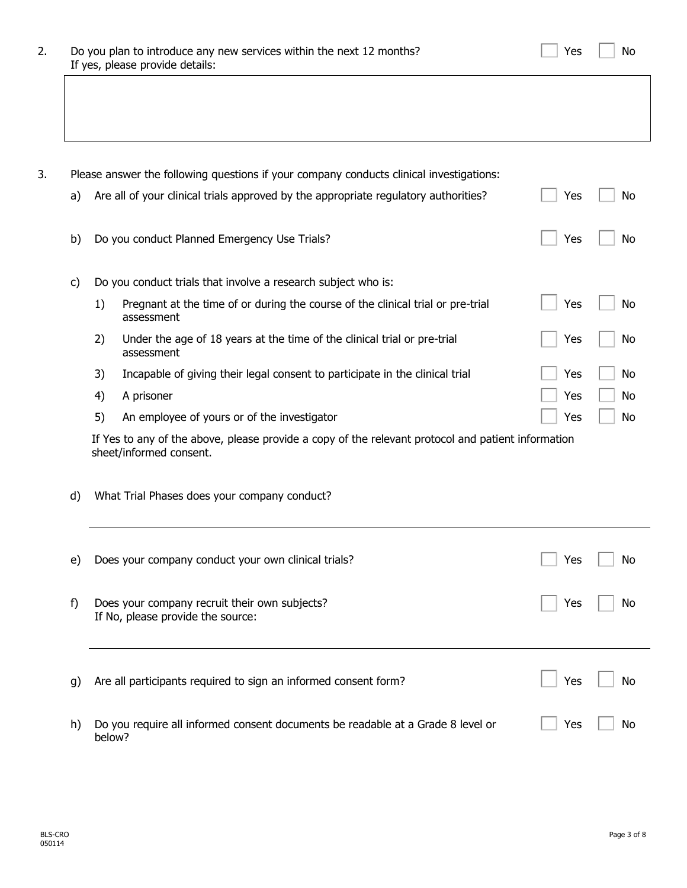| 2. | Do you plan to introduce any new services within the next 12 months? |
|----|----------------------------------------------------------------------|
|    | If yes, please provide details:                                      |

3. Please answer the following questions if your company conducts clinical investigations:

| a) | Are all of your clinical trials approved by the appropriate regulatory authorities?<br>Yes<br>No |                                                                                                                               |     |           |
|----|--------------------------------------------------------------------------------------------------|-------------------------------------------------------------------------------------------------------------------------------|-----|-----------|
| b) |                                                                                                  | Do you conduct Planned Emergency Use Trials?                                                                                  | Yes | No        |
| C) |                                                                                                  | Do you conduct trials that involve a research subject who is:                                                                 |     |           |
|    | 1)                                                                                               | Pregnant at the time of or during the course of the clinical trial or pre-trial<br>assessment                                 | Yes | No        |
|    | 2)                                                                                               | Under the age of 18 years at the time of the clinical trial or pre-trial<br>assessment                                        | Yes | No        |
|    | 3)                                                                                               | Incapable of giving their legal consent to participate in the clinical trial                                                  | Yes | No        |
|    | 4)                                                                                               | A prisoner                                                                                                                    | Yes | <b>No</b> |
|    | 5)                                                                                               | An employee of yours or of the investigator                                                                                   | Yes | <b>No</b> |
|    |                                                                                                  | If Yes to any of the above, please provide a copy of the relevant protocol and patient information<br>sheet/informed consent. |     |           |
|    |                                                                                                  |                                                                                                                               |     |           |
| d) |                                                                                                  | What Trial Phases does your company conduct?                                                                                  |     |           |
| e) |                                                                                                  | Does your company conduct your own clinical trials?                                                                           | Yes | No        |
| f) |                                                                                                  | Does your company recruit their own subjects?<br>If No, please provide the source:                                            | Yes | No        |
| g) |                                                                                                  | Are all participants required to sign an informed consent form?                                                               | Yes | No        |

Yes  $\Box$  No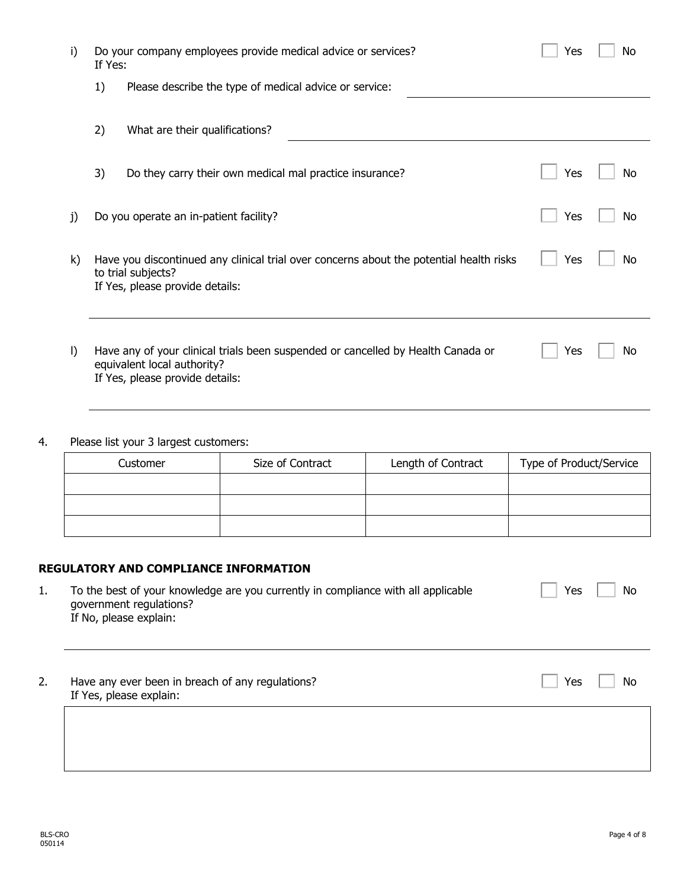| i)      | Do your company employees provide medical advice or services?<br>If Yes: |                                                                                                                                                    |     | No |
|---------|--------------------------------------------------------------------------|----------------------------------------------------------------------------------------------------------------------------------------------------|-----|----|
|         | 1)                                                                       | Please describe the type of medical advice or service:                                                                                             |     |    |
|         | 2)                                                                       | What are their qualifications?                                                                                                                     |     |    |
|         | 3)                                                                       | Do they carry their own medical mal practice insurance?                                                                                            | Yes | No |
| j)      |                                                                          | Do you operate an in-patient facility?                                                                                                             | Yes | No |
| k)      |                                                                          | Have you discontinued any clinical trial over concerns about the potential health risks<br>to trial subjects?<br>If Yes, please provide details:   | Yes | No |
| $\vert$ |                                                                          | Have any of your clinical trials been suspended or cancelled by Health Canada or<br>equivalent local authority?<br>If Yes, please provide details: | Yes | No |

## 4. Please list your 3 largest customers:

| Customer | Size of Contract | Length of Contract | Type of Product/Service |
|----------|------------------|--------------------|-------------------------|
|          |                  |                    |                         |
|          |                  |                    |                         |
|          |                  |                    |                         |

### **REGULATORY AND COMPLIANCE INFORMATION**

| To the best of your knowledge are you currently in compliance with all applicable<br>government regulations? | No<br>Yes |
|--------------------------------------------------------------------------------------------------------------|-----------|
| If No, please explain:                                                                                       |           |
|                                                                                                              |           |

2. Have any ever been in breach of any regulations? If Yes, please explain:

 $\Box$  Yes  $\Box$  No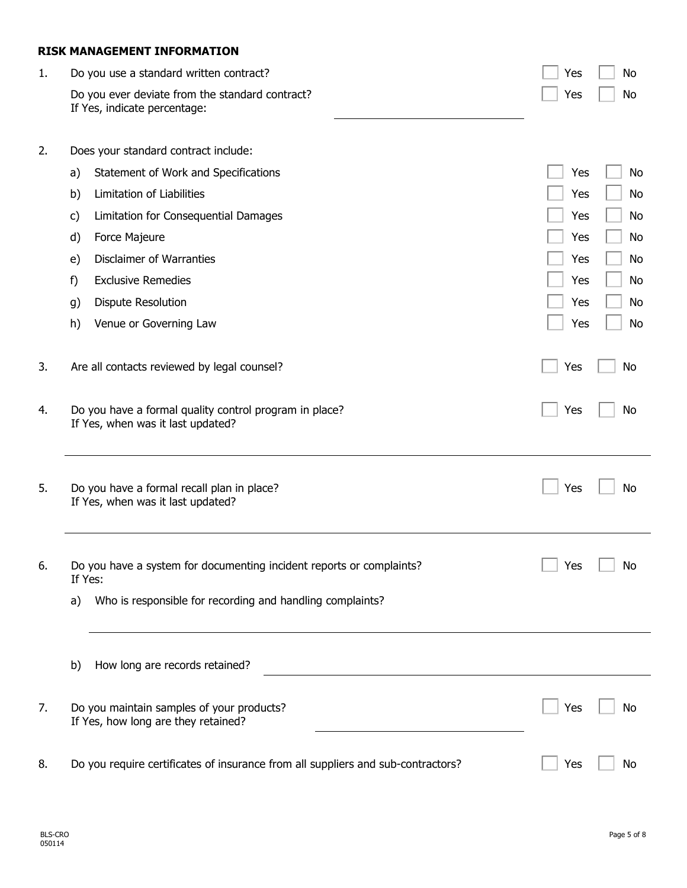#### **RISK MANAGEMENT INFORMATION**

| 1. | Do you use a standard written contract?                                                     | Yes | No  |
|----|---------------------------------------------------------------------------------------------|-----|-----|
|    | Do you ever deviate from the standard contract?<br>If Yes, indicate percentage:             | Yes | No  |
| 2. | Does your standard contract include:                                                        |     |     |
|    | Statement of Work and Specifications<br>a)                                                  | Yes | No  |
|    | Limitation of Liabilities<br>b)                                                             | Yes | No  |
|    | Limitation for Consequential Damages<br>C)                                                  | Yes | No  |
|    | Force Majeure<br>d)                                                                         | Yes | No  |
|    | <b>Disclaimer of Warranties</b><br>e)                                                       | Yes | No  |
|    | <b>Exclusive Remedies</b><br>f)                                                             | Yes | No  |
|    | <b>Dispute Resolution</b><br>g)                                                             | Yes | No  |
|    | Venue or Governing Law<br>h)                                                                | Yes | No  |
| 3. | Are all contacts reviewed by legal counsel?                                                 | Yes | No  |
| 4. | Do you have a formal quality control program in place?<br>If Yes, when was it last updated? | Yes | No  |
| 5. | Do you have a formal recall plan in place?<br>If Yes, when was it last updated?             | Yes | No  |
| 6. | Do you have a system for documenting incident reports or complaints?<br>If Yes:             | Yes | No. |
|    | Who is responsible for recording and handling complaints?<br>a)                             |     |     |
|    | How long are records retained?<br>b)                                                        |     |     |
| 7. | Do you maintain samples of your products?<br>If Yes, how long are they retained?            | Yes | No  |
| 8. | Do you require certificates of insurance from all suppliers and sub-contractors?            | Yes | No  |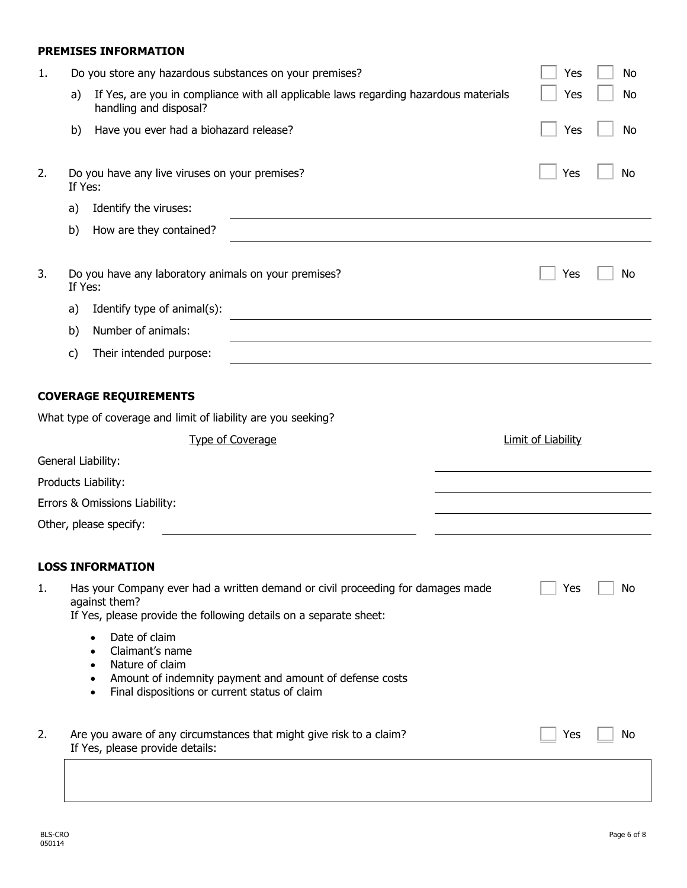#### **PREMISES INFORMATION**

| 1. | Do you store any hazardous substances on your premises?                                                                                                               |                                                                                      | Yes                | No        |
|----|-----------------------------------------------------------------------------------------------------------------------------------------------------------------------|--------------------------------------------------------------------------------------|--------------------|-----------|
|    | a)<br>handling and disposal?                                                                                                                                          | If Yes, are you in compliance with all applicable laws regarding hazardous materials | Yes                | No        |
|    | b)<br>Have you ever had a biohazard release?                                                                                                                          |                                                                                      | Yes                | <b>No</b> |
| 2. | Do you have any live viruses on your premises?<br>If Yes:                                                                                                             |                                                                                      | Yes                | No        |
|    | Identify the viruses:<br>a)                                                                                                                                           |                                                                                      |                    |           |
|    | b)<br>How are they contained?                                                                                                                                         |                                                                                      |                    |           |
| 3. | Do you have any laboratory animals on your premises?<br>If Yes:                                                                                                       |                                                                                      | Yes                | No        |
|    | Identify type of animal(s):<br>a)                                                                                                                                     |                                                                                      |                    |           |
|    | Number of animals:<br>b)                                                                                                                                              |                                                                                      |                    |           |
|    | Their intended purpose:<br>c)                                                                                                                                         |                                                                                      |                    |           |
|    | <b>COVERAGE REQUIREMENTS</b>                                                                                                                                          |                                                                                      |                    |           |
|    | What type of coverage and limit of liability are you seeking?                                                                                                         |                                                                                      |                    |           |
|    | <b>Type of Coverage</b>                                                                                                                                               |                                                                                      | Limit of Liability |           |
|    | General Liability:                                                                                                                                                    |                                                                                      |                    |           |
|    | Products Liability:                                                                                                                                                   |                                                                                      |                    |           |
|    | Errors & Omissions Liability:                                                                                                                                         |                                                                                      |                    |           |
|    | Other, please specify:                                                                                                                                                |                                                                                      |                    |           |
|    | <b>LOSS INFORMATION</b>                                                                                                                                               |                                                                                      |                    |           |
| 1. | Has your Company ever had a written demand or civil proceeding for damages made<br>against them?<br>If Yes, please provide the following details on a separate sheet: |                                                                                      | Yes                | No        |
|    | Date of claim<br>$\bullet$<br>Claimant's name<br>Nature of claim<br>Final dispositions or current status of claim                                                     | Amount of indemnity payment and amount of defense costs                              |                    |           |
| 2. | Are you aware of any circumstances that might give risk to a claim?<br>If Yes, please provide details:                                                                |                                                                                      | Yes                | No        |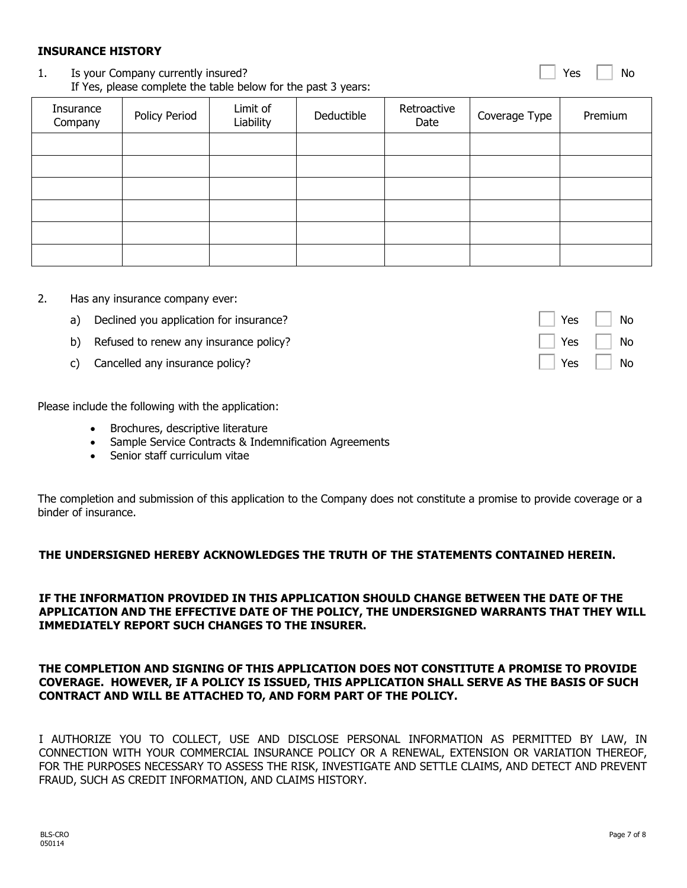050114

## **INSURANCE HISTORY**

#### 1. Is your Company currently insured? If Yes, please complete the table below for the past 3 years:

| Insurance<br>Company | Policy Period | Limit of<br>Liability | Deductible | Retroactive<br>Date | Coverage Type | Premium |
|----------------------|---------------|-----------------------|------------|---------------------|---------------|---------|
|                      |               |                       |            |                     |               |         |
|                      |               |                       |            |                     |               |         |
|                      |               |                       |            |                     |               |         |
|                      |               |                       |            |                     |               |         |
|                      |               |                       |            |                     |               |         |
|                      |               |                       |            |                     |               |         |

- 2. Has any insurance company ever:
	- a) Declined you application for insurance?
	- b) Refused to renew any insurance policy?
	- c) Cancelled any insurance policy?

Please include the following with the application:

- Brochures, descriptive literature
- Sample Service Contracts & Indemnification Agreements
- Senior staff curriculum vitae

The completion and submission of this application to the Company does not constitute a promise to provide coverage or a binder of insurance.

#### **THE UNDERSIGNED HEREBY ACKNOWLEDGES THE TRUTH OF THE STATEMENTS CONTAINED HEREIN.**

#### **IF THE INFORMATION PROVIDED IN THIS APPLICATION SHOULD CHANGE BETWEEN THE DATE OF THE APPLICATION AND THE EFFECTIVE DATE OF THE POLICY, THE UNDERSIGNED WARRANTS THAT THEY WILL IMMEDIATELY REPORT SUCH CHANGES TO THE INSURER.**

#### **THE COMPLETION AND SIGNING OF THIS APPLICATION DOES NOT CONSTITUTE A PROMISE TO PROVIDE COVERAGE. HOWEVER, IF A POLICY IS ISSUED, THIS APPLICATION SHALL SERVE AS THE BASIS OF SUCH CONTRACT AND WILL BE ATTACHED TO, AND FORM PART OF THE POLICY.**

I AUTHORIZE YOU TO COLLECT, USE AND DISCLOSE PERSONAL INFORMATION AS PERMITTED BY LAW, IN CONNECTION WITH YOUR COMMERCIAL INSURANCE POLICY OR A RENEWAL, EXTENSION OR VARIATION THEREOF, FOR THE PURPOSES NECESSARY TO ASSESS THE RISK, INVESTIGATE AND SETTLE CLAIMS, AND DETECT AND PREVENT FRAUD, SUCH AS CREDIT INFORMATION, AND CLAIMS HISTORY.

| Yes | No |
|-----|----|
| Yes | No |
| Yes | No |